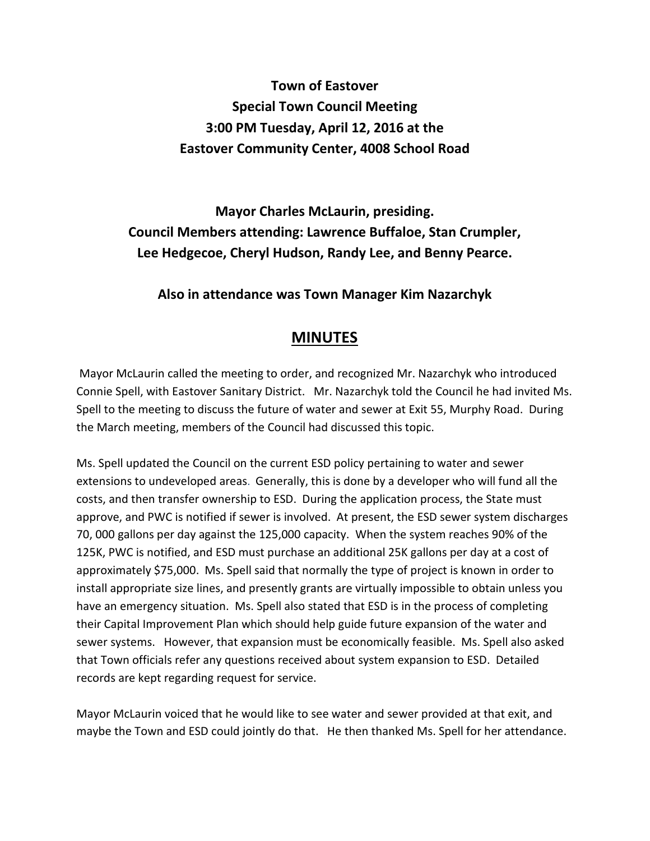## **Town of Eastover Special Town Council Meeting 3:00 PM Tuesday, April 12, 2016 at the Eastover Community Center, 4008 School Road**

**Mayor Charles McLaurin, presiding. Council Members attending: Lawrence Buffaloe, Stan Crumpler, Lee Hedgecoe, Cheryl Hudson, Randy Lee, and Benny Pearce.** 

**Also in attendance was Town Manager Kim Nazarchyk** 

## **MINUTES**

 Mayor McLaurin called the meeting to order, and recognized Mr. Nazarchyk who introduced Connie Spell, with Eastover Sanitary District. Mr. Nazarchyk told the Council he had invited Ms. Spell to the meeting to discuss the future of water and sewer at Exit 55, Murphy Road. During the March meeting, members of the Council had discussed this topic.

Ms. Spell updated the Council on the current ESD policy pertaining to water and sewer extensions to undeveloped areas. Generally, this is done by a developer who will fund all the costs, and then transfer ownership to ESD. During the application process, the State must approve, and PWC is notified if sewer is involved. At present, the ESD sewer system discharges 70, 000 gallons per day against the 125,000 capacity. When the system reaches 90% of the 125K, PWC is notified, and ESD must purchase an additional 25K gallons per day at a cost of approximately \$75,000. Ms. Spell said that normally the type of project is known in order to install appropriate size lines, and presently grants are virtually impossible to obtain unless you have an emergency situation. Ms. Spell also stated that ESD is in the process of completing their Capital Improvement Plan which should help guide future expansion of the water and sewer systems. However, that expansion must be economically feasible. Ms. Spell also asked that Town officials refer any questions received about system expansion to ESD. Detailed records are kept regarding request for service.

Mayor McLaurin voiced that he would like to see water and sewer provided at that exit, and maybe the Town and ESD could jointly do that. He then thanked Ms. Spell for her attendance.